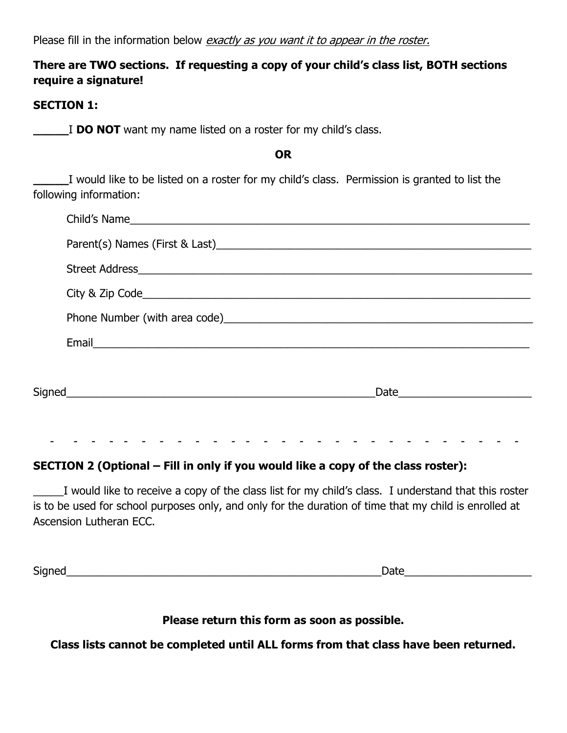Please fill in the information below exactly as you want it to appear in the roster.

## **There are TWO sections. If requesting a copy of your child's class list, BOTH sections require a signature!**

## **SECTION 1:**

**\_\_\_\_\_**I **DO NOT** want my name listed on a roster for my child's class.

**\_\_\_\_\_**I would like to be listed on a roster for my child's class. Permission is granted to list the following information:

**OR**

| Email 2008 - 2008 - 2008 - 2019 - 2019 - 2019 - 2019 - 2019 - 2019 - 2019 - 2019 - 2019 - 2019 - 2019 - 2019 - |  |
|----------------------------------------------------------------------------------------------------------------|--|
|                                                                                                                |  |
|                                                                                                                |  |
|                                                                                                                |  |
|                                                                                                                |  |

## **SECTION 2 (Optional – Fill in only if you would like a copy of the class roster):**

\_\_\_\_\_I would like to receive a copy of the class list for my child's class. I understand that this roster is to be used for school purposes only, and only for the duration of time that my child is enrolled at Ascension Lutheran ECC.

Signed\_\_\_\_\_\_\_\_\_\_\_\_\_\_\_\_\_\_\_\_\_\_\_\_\_\_\_\_\_\_\_\_\_\_\_\_\_\_\_\_\_\_\_\_\_\_\_\_\_\_\_\_Date\_\_\_\_\_\_\_\_\_\_\_\_\_\_\_\_\_\_\_\_\_

## **Please return this form as soon as possible.**

**Class lists cannot be completed until ALL forms from that class have been returned.**